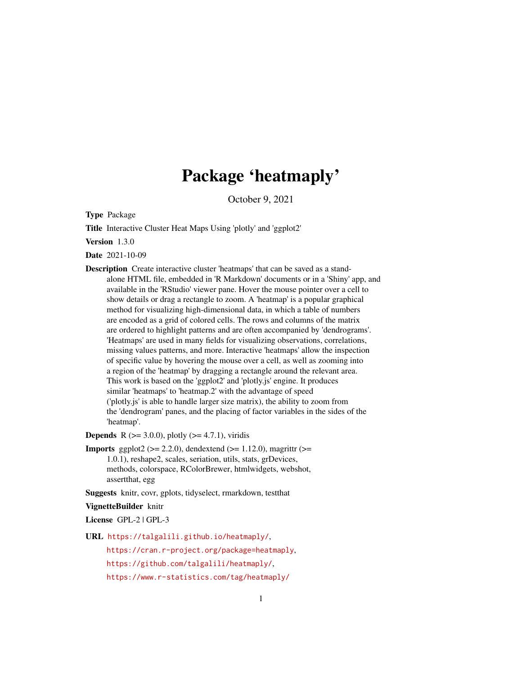# Package 'heatmaply'

October 9, 2021

<span id="page-0-0"></span>Type Package

Title Interactive Cluster Heat Maps Using 'plotly' and 'ggplot2'

Version 1.3.0

Date 2021-10-09

Description Create interactive cluster 'heatmaps' that can be saved as a standalone HTML file, embedded in 'R Markdown' documents or in a 'Shiny' app, and available in the 'RStudio' viewer pane. Hover the mouse pointer over a cell to show details or drag a rectangle to zoom. A 'heatmap' is a popular graphical method for visualizing high-dimensional data, in which a table of numbers are encoded as a grid of colored cells. The rows and columns of the matrix are ordered to highlight patterns and are often accompanied by 'dendrograms'. 'Heatmaps' are used in many fields for visualizing observations, correlations, missing values patterns, and more. Interactive 'heatmaps' allow the inspection of specific value by hovering the mouse over a cell, as well as zooming into a region of the 'heatmap' by dragging a rectangle around the relevant area. This work is based on the 'ggplot2' and 'plotly.js' engine. It produces similar 'heatmaps' to 'heatmap.2' with the advantage of speed ('plotly.js' is able to handle larger size matrix), the ability to zoom from the 'dendrogram' panes, and the placing of factor variables in the sides of the 'heatmap'.

**Depends** R ( $>= 3.0.0$ ), plotly ( $>= 4.7.1$ ), viridis

**Imports** ggplot2 ( $>= 2.2.0$ ), dendextend ( $>= 1.12.0$ ), magrittr ( $>=$ 1.0.1), reshape2, scales, seriation, utils, stats, grDevices, methods, colorspace, RColorBrewer, htmlwidgets, webshot, assertthat, egg

Suggests knitr, covr, gplots, tidyselect, rmarkdown, testthat

VignetteBuilder knitr

License GPL-2 | GPL-3

URL <https://talgalili.github.io/heatmaply/>,

<https://cran.r-project.org/package=heatmaply>, <https://github.com/talgalili/heatmaply/>, <https://www.r-statistics.com/tag/heatmaply/>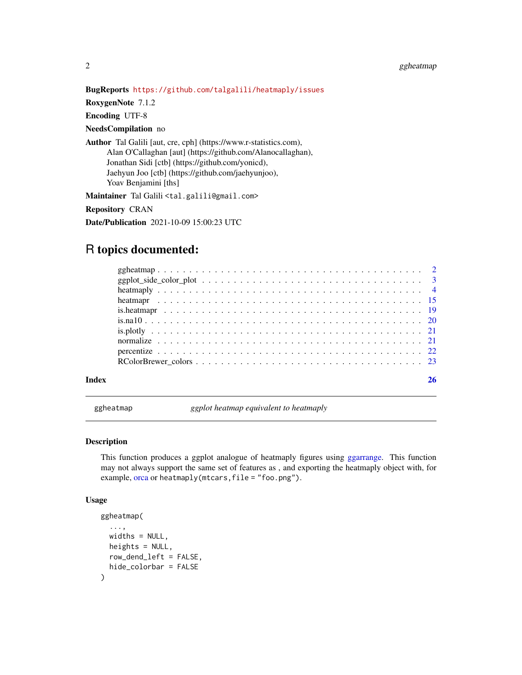# <span id="page-1-0"></span>2 ggheatmap

#### BugReports <https://github.com/talgalili/heatmaply/issues>

RoxygenNote 7.1.2

Encoding UTF-8

#### NeedsCompilation no

Author Tal Galili [aut, cre, cph] (https://www.r-statistics.com), Alan O'Callaghan [aut] (https://github.com/Alanocallaghan), Jonathan Sidi [ctb] (https://github.com/yonicd), Jaehyun Joo [ctb] (https://github.com/jaehyunjoo), Yoav Benjamini [ths]

Maintainer Tal Galili <tal.galili@gmail.com>

Repository CRAN

Date/Publication 2021-10-09 15:00:23 UTC

# R topics documented:

ggheatmap *ggplot heatmap equivalent to heatmaply*

# Description

This function produces a ggplot analogue of heatmaply figures using [ggarrange.](#page-0-0) This function may not always support the same set of features as , and exporting the heatmaply object with, for example, [orca](#page-0-0) or heatmaply(mtcars, file = "foo.png").

#### Usage

```
ggheatmap(
  ...,
 widths = NULL,
 heights = NULL,
 row_dend_left = FALSE,
 hide_colorbar = FALSE
)
```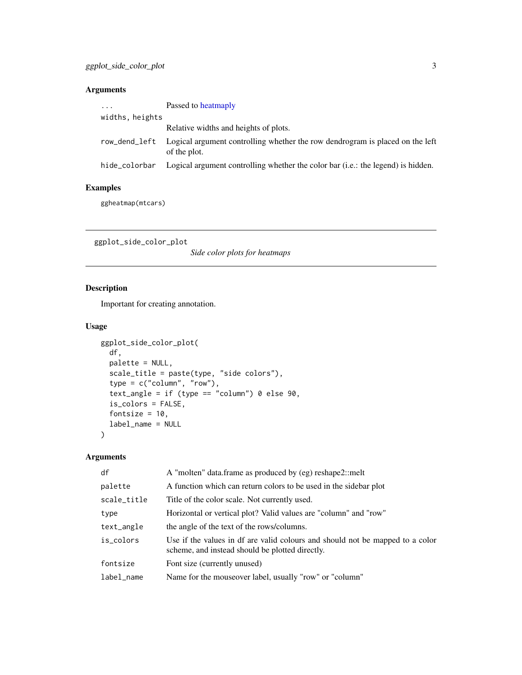# <span id="page-2-0"></span>Arguments

| $\cdot$         | Passed to heatmaply                                                                           |
|-----------------|-----------------------------------------------------------------------------------------------|
| widths, heights |                                                                                               |
|                 | Relative widths and heights of plots.                                                         |
| row_dend_left   | Logical argument controlling whether the row dendrogram is placed on the left<br>of the plot. |
| hide colorbar   | Logical argument controlling whether the color bar (i.e.: the legend) is hidden.              |

# Examples

ggheatmap(mtcars)

ggplot\_side\_color\_plot

*Side color plots for heatmaps*

# Description

Important for creating annotation.

# Usage

```
ggplot_side_color_plot(
 df,
 palette = NULL,
 scale_title = paste(type, "side colors"),
 type = c("column", "row"),
  text_angle = if (type == "column") 0 else 90,
 is_colors = FALSE,
 fontsize = 10,
 label_name = NULL
)
```
# Arguments

| df          | A "molten" data.frame as produced by (eg) reshape2::melt                                                                         |
|-------------|----------------------------------------------------------------------------------------------------------------------------------|
| palette     | A function which can return colors to be used in the sidebar plot                                                                |
| scale_title | Title of the color scale. Not currently used.                                                                                    |
| type        | Horizontal or vertical plot? Valid values are "column" and "row"                                                                 |
| text_angle  | the angle of the text of the rows/columns.                                                                                       |
| is_colors   | Use if the values in df are valid colours and should not be mapped to a color<br>scheme, and instead should be plotted directly. |
| fontsize    | Font size (currently unused)                                                                                                     |
| label_name  | Name for the mouseover label, usually "row" or "column"                                                                          |
|             |                                                                                                                                  |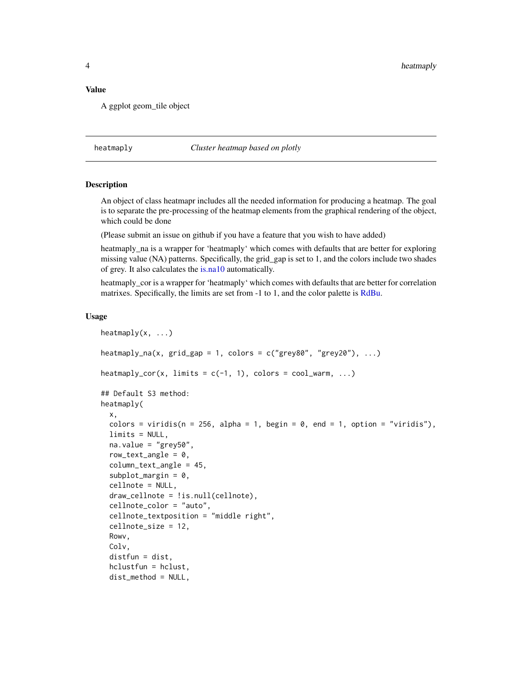#### <span id="page-3-0"></span>Value

A ggplot geom\_tile object

#### <span id="page-3-1"></span>heatmaply *Cluster heatmap based on plotly*

#### **Description**

An object of class heatmapr includes all the needed information for producing a heatmap. The goal is to separate the pre-processing of the heatmap elements from the graphical rendering of the object, which could be done

(Please submit an issue on github if you have a feature that you wish to have added)

heatmaply\_na is a wrapper for 'heatmaply' which comes with defaults that are better for exploring missing value (NA) patterns. Specifically, the grid\_gap is set to 1, and the colors include two shades of grey. It also calculates the [is.na10](#page-19-1) automatically.

heatmaply cor is a wrapper for 'heatmaply' which comes with defaults that are better for correlation matrixes. Specifically, the limits are set from -1 to 1, and the color palette is [RdBu.](#page-22-1)

#### Usage

```
heatmaply(x, ...)
heatmaply_na(x, grid_gap = 1, colors = c("grev80", "grev20"), ...)
\text{heatmaply\_cor}(x, \text{limits} = c(-1, 1), \text{colors} = \text{cool\_warm}, \dots)## Default S3 method:
heatmaply(
  x,
  colors = viridis(n = 256, alpha = 1, begin = 0, end = 1, option = "viridis"),
  limits = NULL,
  na.value = "grey50",
  row\_text\_angle = 0,
  column_text_angle = 45,
  subplot_margin = 0,
  cellnote = NULL,
  draw_cellnote = !is.null(cellnote),
  cellnote_color = "auto",
  cellnote_textposition = "middle right",
  cellnote_size = 12,
 Rowv,
  Colv,
  distfun = dist,
  hclustfun = hclust,
  dist_method = NULL,
```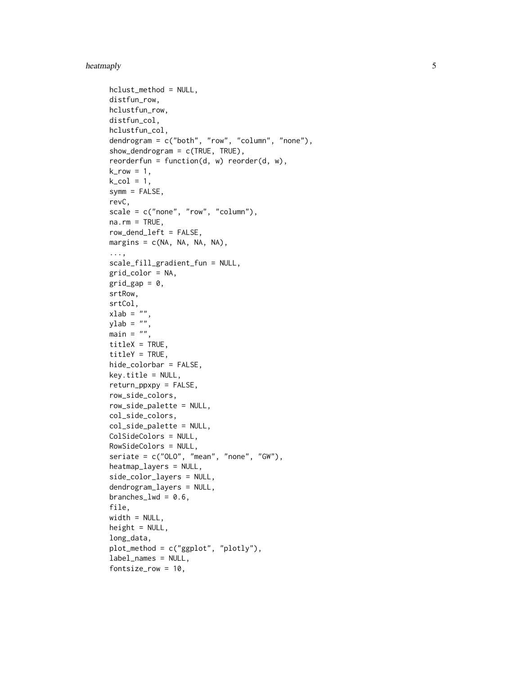#### heatmaply

```
hclust_method = NULL,
distfun_row,
hclustfun_row,
distfun_col,
hclustfun_col,
dendrogram = c("both", "row", "column", "none"),
show_dendrogram = c(TRUE, TRUE),
reorderfun = function(d, w) reorder(d, w),
k_{row} = 1,
k_{col} = 1,
symm = FALSE,
revC,
scale = c("none", "row", "column"),na.rm = TRUE,row_dend_left = FALSE,
margins = c(NA, NA, NA, NA),
...,
scale_fill_gradient_fun = NULL,
grid_color = NA,
grid_gap = 0,
srtRow,
srtCol,
xlab = "",
ylab = "".
main = "",titleX = TRUE,
titleY = TRUE,hide_colorbar = FALSE,
key.title = NULL,
return_ppxpy = FALSE,
row_side_colors,
row_side_palette = NULL,
col_side_colors,
col_side_palette = NULL,
ColSideColors = NULL,
RowSideColors = NULL,
seriate = c("OLO", "mean", "none", "GW"),
heatmap_layers = NULL,
side_color_layers = NULL,
dendrogram_layers = NULL,
branches_lwd = 0.6,
file,
width = NULL,height = NULL,long_data,
plot_method = c("ggplot", "plotly"),
label_names = NULL,
fontsize_row = 10,
```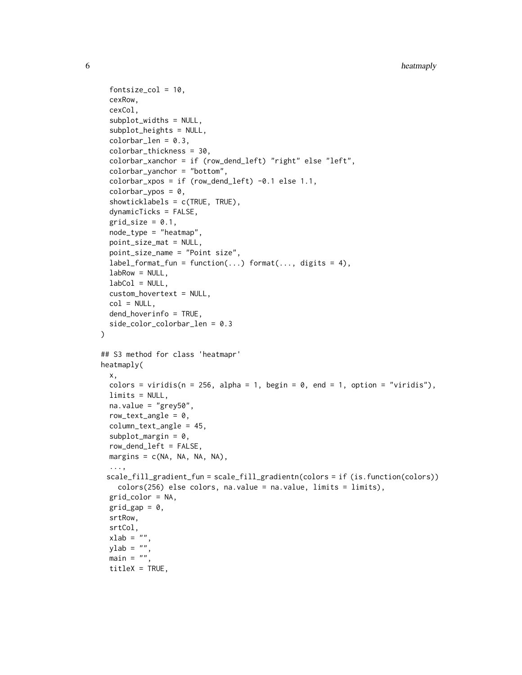```
fontsize_col = 10,
  cexRow,
  cexCol,
  subplot_widths = NULL,
  subplot_heights = NULL,
  colorbar_length = 0.3,colorbar_thickness = 30,
  colorbar_xanchor = if (row_dend_left) "right" else "left",
  colorbar_yanchor = "bottom",
  colorbar_xpos = if (row\_dend\_left) -0.1 else 1.1,colorbar_ypos = 0,
  showticklabels = c(TRUE, TRUE),
  dynamicTicks = FALSE,
  grid_size = 0.1,
 node_type = "heatmap",
  point_size_mat = NULL,
  point_size_name = "Point size",
  label_format_fun = function(...) format(..., digits = 4),labRow = NULL,labCol = NULL,
  custom_hovertext = NULL,
  col = NULL,dend_hoverinfo = TRUE,
  side_color_colorbar_len = 0.3
)
## S3 method for class 'heatmapr'
heatmaply(
 x,
 colors = viridis(n = 256, alpha = 1, begin = 0, end = 1, option = "viridis"),
 limits = NULL,
 na.value = "grey50",
  row_text_angle = 0,
  column_text_angle = 45,
  subplot_margin = 0,
  row_dend_left = FALSE,
 margins = c(NA, NA, NA, NA),
  ...,
 scale_fill_gradient_fun = scale_fill_gradientn(colors = if (is.function(colors))
    colors(256) else colors, na.value = na.value, limits = limits),
 grid_color = NA,
 grid\_gap = 0,
  srtRow,
  srtCol,
 xlab = ",
 ylab = "",
 main = "",titleX = TRUE,
```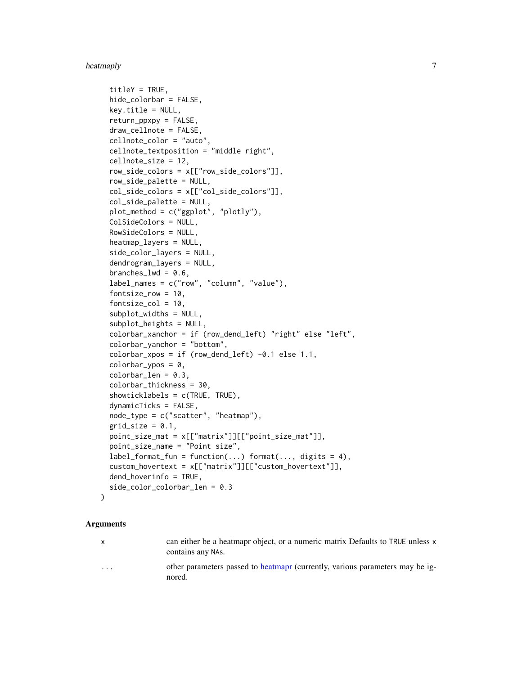#### <span id="page-6-0"></span>heatmaply 7

```
titleY = TRUE,
hide_colorbar = FALSE,
key.title = NULL,return_ppxpy = FALSE,
draw_cellnote = FALSE,
cellnote_color = "auto",
cellnote_textposition = "middle right",
cellnote_size = 12,
row_side_colors = x[["row_side_colors"]],
row_side_palette = NULL,
col_side_colors = x[["col_side_colors"]],
col_side_palette = NULL,
plot_method = c("ggplot", "plotly"),
ColSideColors = NULL,
RowSideColors = NULL,
heatmap_layers = NULL,
side_color_layers = NULL,
dendrogram_layers = NULL,
branches_lwd = 0.6,
label_names = c("row", "column", "value"),
fontsize_row = 10,
fontsize\_col = 10,
subplot_widths = NULL,
subplot_heights = NULL,
colorbar_xanchor = if (row_dend_left) "right" else "left",
colorbar_yanchor = "bottom",
colorbar_xpos = if (row\_dend\_left) -0.1 else 1.1,colorbar_ypos = 0,
colorbar_{len} = 0.3,
colorbar_thickness = 30,
showticklabels = c(TRUE, TRUE),
dynamicTicks = FALSE,
node_type = c("scatter", "heatmap"),
grid\_size = 0.1,
point_size_mat = x[["matrix"]][["point_size_mat"]],
point_size_name = "Point size",
label_format_fun = function(...) format(..., digits = 4).custom_hovertext = x[["matrix"]][["custom_hovertext"]],
dend_hoverinfo = TRUE,
side_color_colorbar_len = 0.3
```
#### Arguments

 $\lambda$ 

x can either be a heatmapr object, or a numeric matrix Defaults to TRUE unless x contains any NAs.

... other parameters passed to [heatmapr](#page-14-1) (currently, various parameters may be ignored.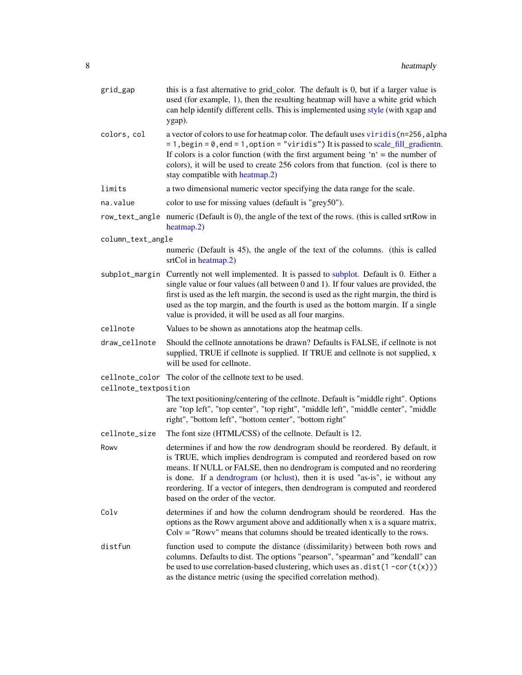<span id="page-7-0"></span>

| grid_gap              | this is a fast alternative to grid_color. The default is 0, but if a larger value is<br>used (for example, 1), then the resulting heatmap will have a white grid which<br>can help identify different cells. This is implemented using style (with xgap and<br>ygap).                                                                                                                                                                         |
|-----------------------|-----------------------------------------------------------------------------------------------------------------------------------------------------------------------------------------------------------------------------------------------------------------------------------------------------------------------------------------------------------------------------------------------------------------------------------------------|
| colors, col           | a vector of colors to use for heatmap color. The default uses viridis (n=256, alpha<br>$= 1$ , begin = 0, end = 1, option = "viridis") It is passed to scale_fill_gradientn.<br>If colors is a color function (with the first argument being 'n' = the number of<br>colors), it will be used to create 256 colors from that function. (col is there to<br>stay compatible with heatmap.2)                                                     |
| limits                | a two dimensional numeric vector specifying the data range for the scale.                                                                                                                                                                                                                                                                                                                                                                     |
| na.value              | color to use for missing values (default is "grey50").                                                                                                                                                                                                                                                                                                                                                                                        |
|                       | row_text_angle numeric (Default is 0), the angle of the text of the rows. (this is called srtRow in<br>heatmap.2)                                                                                                                                                                                                                                                                                                                             |
| column_text_angle     |                                                                                                                                                                                                                                                                                                                                                                                                                                               |
|                       | numeric (Default is 45), the angle of the text of the columns. (this is called<br>srtCol in heatmap.2)                                                                                                                                                                                                                                                                                                                                        |
|                       | subplot_margin Currently not well implemented. It is passed to subplot. Default is 0. Either a<br>single value or four values (all between 0 and 1). If four values are provided, the<br>first is used as the left margin, the second is used as the right margin, the third is<br>used as the top margin, and the fourth is used as the bottom margin. If a single<br>value is provided, it will be used as all four margins.                |
| cellnote              | Values to be shown as annotations atop the heatmap cells.                                                                                                                                                                                                                                                                                                                                                                                     |
| draw_cellnote         | Should the cellnote annotations be drawn? Defaults is FALSE, if cellnote is not<br>supplied, TRUE if cellnote is supplied. If TRUE and cellnote is not supplied, x<br>will be used for cellnote.                                                                                                                                                                                                                                              |
| cellnote_textposition | cellnote_color The color of the cellnote text to be used.                                                                                                                                                                                                                                                                                                                                                                                     |
|                       | The text positioning/centering of the cellnote. Default is "middle right". Options<br>are "top left", "top center", "top right", "middle left", "middle center", "middle<br>right", "bottom left", "bottom center", "bottom right"                                                                                                                                                                                                            |
| cellnote_size         | The font size (HTML/CSS) of the cellnote. Default is 12.                                                                                                                                                                                                                                                                                                                                                                                      |
| Rowy                  | determines if and how the row dendrogram should be reordered. By default, it<br>is TRUE, which implies dendrogram is computed and reordered based on row<br>means. If NULL or FALSE, then no dendrogram is computed and no reordering<br>is done. If a dendrogram (or hclust), then it is used "as-is", ie without any<br>reordering. If a vector of integers, then dendrogram is computed and reordered<br>based on the order of the vector. |
| Colv                  | determines if and how the column dendrogram should be reordered. Has the<br>options as the Rowv argument above and additionally when x is a square matrix,<br>$Colv = "Rowv"$ means that columns should be treated identically to the rows.                                                                                                                                                                                                   |
| distfun               | function used to compute the distance (dissimilarity) between both rows and<br>columns. Defaults to dist. The options "pearson", "spearman" and "kendall" can<br>be used to use correlation-based clustering, which uses as $dist(1 - cor(t(x)))$<br>as the distance metric (using the specified correlation method).                                                                                                                         |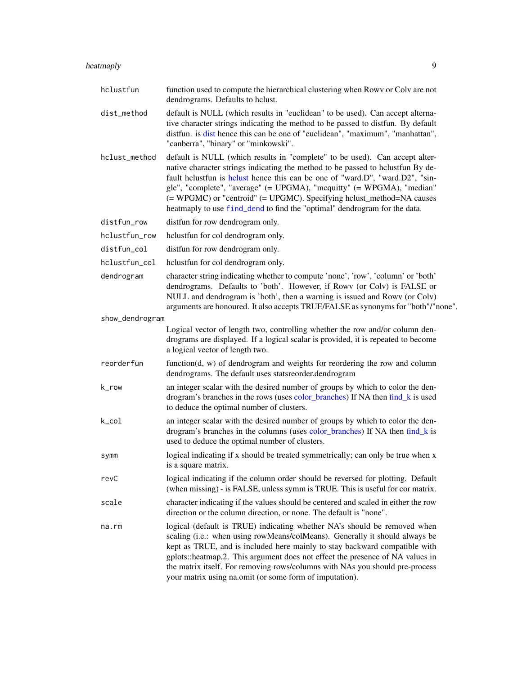<span id="page-8-0"></span>

| hclustfun       | function used to compute the hierarchical clustering when Rowy or Colv are not<br>dendrograms. Defaults to hclust.                                                                                                                                                                                                                                                                                                                                                             |
|-----------------|--------------------------------------------------------------------------------------------------------------------------------------------------------------------------------------------------------------------------------------------------------------------------------------------------------------------------------------------------------------------------------------------------------------------------------------------------------------------------------|
| dist_method     | default is NULL (which results in "euclidean" to be used). Can accept alterna-<br>tive character strings indicating the method to be passed to distfun. By default<br>distfun. is dist hence this can be one of "euclidean", "maximum", "manhattan",<br>"canberra", "binary" or "minkowski".                                                                                                                                                                                   |
| hclust_method   | default is NULL (which results in "complete" to be used). Can accept alter-<br>native character strings indicating the method to be passed to hclustfun By de-<br>fault helustfun is helust hence this can be one of "ward.D", "ward.D2", "sin-<br>gle", "complete", "average" (= UPGMA), "mcquitty" (= WPGMA), "median"<br>(= WPGMC) or "centroid" (= UPGMC). Specifying hclust_method=NA causes<br>heatmaply to use find_dend to find the "optimal" dendrogram for the data. |
| distfun_row     | distfun for row dendrogram only.                                                                                                                                                                                                                                                                                                                                                                                                                                               |
| hclustfun_row   | hclustfun for col dendrogram only.                                                                                                                                                                                                                                                                                                                                                                                                                                             |
| distfun_col     | distfun for row dendrogram only.                                                                                                                                                                                                                                                                                                                                                                                                                                               |
| hclustfun col   | hclustfun for col dendrogram only.                                                                                                                                                                                                                                                                                                                                                                                                                                             |
| dendrogram      | character string indicating whether to compute 'none', 'row', 'column' or 'both'<br>dendrograms. Defaults to 'both'. However, if Rowy (or Colv) is FALSE or<br>NULL and dendrogram is 'both', then a warning is issued and Rowv (or Colv)<br>arguments are honoured. It also accepts TRUE/FALSE as synonyms for "both"/"none".                                                                                                                                                 |
| show_dendrogram |                                                                                                                                                                                                                                                                                                                                                                                                                                                                                |
|                 | Logical vector of length two, controlling whether the row and/or column den-<br>drograms are displayed. If a logical scalar is provided, it is repeated to become<br>a logical vector of length two.                                                                                                                                                                                                                                                                           |
| reorderfun      | function $(d, w)$ of dendrogram and weights for reordering the row and column<br>dendrograms. The default uses statsreorder.dendrogram                                                                                                                                                                                                                                                                                                                                         |
| k_row           | an integer scalar with the desired number of groups by which to color the den-<br>drogram's branches in the rows (uses color_branches) If NA then find_k is used<br>to deduce the optimal number of clusters.                                                                                                                                                                                                                                                                  |
| $k$ _col        | an integer scalar with the desired number of groups by which to color the den-<br>drogram's branches in the columns (uses color_branches) If NA then find_k is<br>used to deduce the optimal number of clusters.                                                                                                                                                                                                                                                               |
| symm            | logical indicating if x should be treated symmetrically; can only be true when x<br>is a square matrix.                                                                                                                                                                                                                                                                                                                                                                        |
| revC            | logical indicating if the column order should be reversed for plotting. Default<br>(when missing) - is FALSE, unless symm is TRUE. This is useful for cor matrix.                                                                                                                                                                                                                                                                                                              |
| scale           | character indicating if the values should be centered and scaled in either the row<br>direction or the column direction, or none. The default is "none".                                                                                                                                                                                                                                                                                                                       |

na.rm logical (default is TRUE) indicating whether NA's should be removed when scaling (i.e.: when using rowMeans/colMeans). Generally it should always be kept as TRUE, and is included here mainly to stay backward compatible with gplots::heatmap.2. This argument does not effect the presence of NA values in the matrix itself. For removing rows/columns with NAs you should pre-process your matrix using na.omit (or some form of imputation).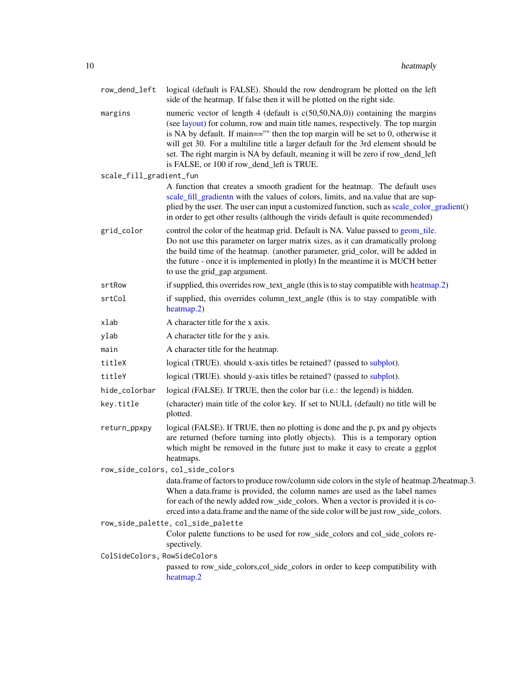<span id="page-9-0"></span>

| row_dend_left                | logical (default is FALSE). Should the row dendrogram be plotted on the left<br>side of the heatmap. If false then it will be plotted on the right side.                                                                                                                                                                                                                                                                                                                      |
|------------------------------|-------------------------------------------------------------------------------------------------------------------------------------------------------------------------------------------------------------------------------------------------------------------------------------------------------------------------------------------------------------------------------------------------------------------------------------------------------------------------------|
| margins                      | numeric vector of length 4 (default is $c(50,50,NA,0)$ ) containing the margins<br>(see layout) for column, row and main title names, respectively. The top margin<br>is NA by default. If main=="" then the top margin will be set to 0, otherwise it<br>will get 30. For a multiline title a larger default for the 3rd element should be<br>set. The right margin is NA by default, meaning it will be zero if row_dend_left<br>is FALSE, or 100 if row_dend_left is TRUE. |
| scale_fill_gradient_fun      |                                                                                                                                                                                                                                                                                                                                                                                                                                                                               |
|                              | A function that creates a smooth gradient for the heatmap. The default uses<br>scale_fill_gradientn with the values of colors, limits, and na.value that are sup-<br>plied by the user. The user can input a customized function, such as scale_color_gradient()<br>in order to get other results (although the virids default is quite recommended)                                                                                                                          |
| grid_color                   | control the color of the heatmap grid. Default is NA. Value passed to geom_tile.<br>Do not use this parameter on larger matrix sizes, as it can dramatically prolong<br>the build time of the heatmap. (another parameter, grid_color, will be added in<br>the future - once it is implemented in plotly) In the meantime it is MUCH better<br>to use the grid_gap argument.                                                                                                  |
| srtRow                       | if supplied, this overrides row_text_angle (this is to stay compatible with heatmap.2)                                                                                                                                                                                                                                                                                                                                                                                        |
| srtCol                       | if supplied, this overrides column_text_angle (this is to stay compatible with<br>heatmap.2)                                                                                                                                                                                                                                                                                                                                                                                  |
| xlab                         | A character title for the x axis.                                                                                                                                                                                                                                                                                                                                                                                                                                             |
| ylab                         | A character title for the y axis.                                                                                                                                                                                                                                                                                                                                                                                                                                             |
| main                         | A character title for the heatmap.                                                                                                                                                                                                                                                                                                                                                                                                                                            |
| titleX                       | logical (TRUE). should x-axis titles be retained? (passed to subplot).                                                                                                                                                                                                                                                                                                                                                                                                        |
| titleY                       | logical (TRUE). should y-axis titles be retained? (passed to subplot).                                                                                                                                                                                                                                                                                                                                                                                                        |
| hide_colorbar                | logical (FALSE). If TRUE, then the color bar (i.e.: the legend) is hidden.                                                                                                                                                                                                                                                                                                                                                                                                    |
| key.title                    | (character) main title of the color key. If set to NULL (default) no title will be<br>plotted.                                                                                                                                                                                                                                                                                                                                                                                |
| return_ppxpy                 | logical (FALSE). If TRUE, then no plotting is done and the p, px and py objects<br>are returned (before turning into plotly objects). This is a temporary option<br>which might be removed in the future just to make it easy to create a ggplot<br>heatmaps.                                                                                                                                                                                                                 |
|                              | row_side_colors, col_side_colors                                                                                                                                                                                                                                                                                                                                                                                                                                              |
|                              | data.frame of factors to produce row/column side colors in the style of heatmap.2/heatmap.3.<br>When a data.frame is provided, the column names are used as the label names<br>for each of the newly added row_side_colors. When a vector is provided it is co-<br>erced into a data.frame and the name of the side color will be just row_side_colors.                                                                                                                       |
|                              | row_side_palette, col_side_palette                                                                                                                                                                                                                                                                                                                                                                                                                                            |
|                              | Color palette functions to be used for row_side_colors and col_side_colors re-<br>spectively.                                                                                                                                                                                                                                                                                                                                                                                 |
| ColSideColors, RowSideColors |                                                                                                                                                                                                                                                                                                                                                                                                                                                                               |
|                              | passed to row_side_colors,col_side_colors in order to keep compatibility with<br>heatmap.2                                                                                                                                                                                                                                                                                                                                                                                    |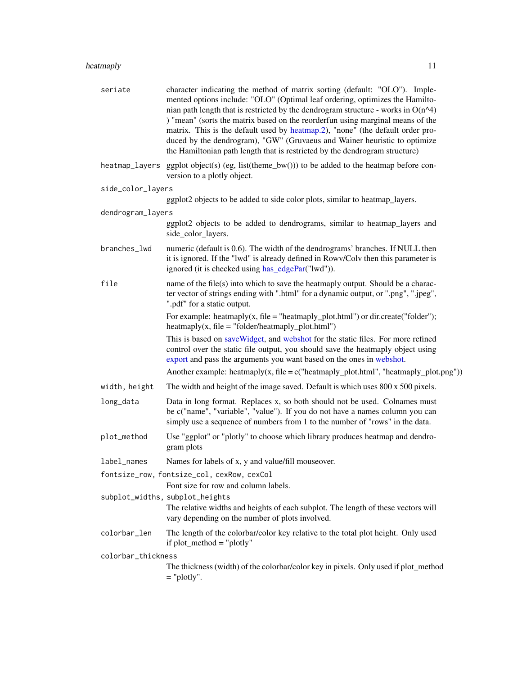<span id="page-10-0"></span>

| seriate            | character indicating the method of matrix sorting (default: "OLO"). Imple-<br>mented options include: "OLO" (Optimal leaf ordering, optimizes the Hamilto-<br>nian path length that is restricted by the dendrogram structure - works in $O(n^4)$<br>) "mean" (sorts the matrix based on the reorderfun using marginal means of the<br>matrix. This is the default used by heatmap.2), "none" (the default order pro-<br>duced by the dendrogram), "GW" (Gruvaeus and Wainer heuristic to optimize<br>the Hamiltonian path length that is restricted by the dendrogram structure) |
|--------------------|-----------------------------------------------------------------------------------------------------------------------------------------------------------------------------------------------------------------------------------------------------------------------------------------------------------------------------------------------------------------------------------------------------------------------------------------------------------------------------------------------------------------------------------------------------------------------------------|
|                    | heatmap_layers ggplot object(s) (eg, list(theme_bw())) to be added to the heatmap before con-<br>version to a plotly object.                                                                                                                                                                                                                                                                                                                                                                                                                                                      |
| side_color_layers  |                                                                                                                                                                                                                                                                                                                                                                                                                                                                                                                                                                                   |
|                    | ggplot2 objects to be added to side color plots, similar to heatmap_layers.                                                                                                                                                                                                                                                                                                                                                                                                                                                                                                       |
| dendrogram_layers  |                                                                                                                                                                                                                                                                                                                                                                                                                                                                                                                                                                                   |
|                    | ggplot2 objects to be added to dendrograms, similar to heatmap_layers and<br>side_color_layers.                                                                                                                                                                                                                                                                                                                                                                                                                                                                                   |
| branches_lwd       | numeric (default is 0.6). The width of the dendrograms' branches. If NULL then<br>it is ignored. If the "lwd" is already defined in Rowv/Colv then this parameter is<br>ignored (it is checked using has_edgePar("lwd")).                                                                                                                                                                                                                                                                                                                                                         |
| file               | name of the file(s) into which to save the heatmaply output. Should be a charac-<br>ter vector of strings ending with ".html" for a dynamic output, or ".png", ".jpeg",<br>".pdf" for a static output.                                                                                                                                                                                                                                                                                                                                                                            |
|                    | For example: heatmaply(x, file = "heatmaply_plot.html") or dir.create("folder");<br>$\text{heatmaply}(x, \text{ file} = \text{"folder/heatmaply\_plot.html"})$                                                                                                                                                                                                                                                                                                                                                                                                                    |
|                    | This is based on save Widget, and webshot for the static files. For more refined<br>control over the static file output, you should save the heatmaply object using<br>export and pass the arguments you want based on the ones in webshot.                                                                                                                                                                                                                                                                                                                                       |
|                    | Another example: heatmaply(x, file = $c$ ("heatmaply_plot.html", "heatmaply_plot.png"))                                                                                                                                                                                                                                                                                                                                                                                                                                                                                           |
| width, height      | The width and height of the image saved. Default is which uses 800 x 500 pixels.                                                                                                                                                                                                                                                                                                                                                                                                                                                                                                  |
| long_data          | Data in long format. Replaces x, so both should not be used. Colnames must<br>be c("name", "variable", "value"). If you do not have a names column you can<br>simply use a sequence of numbers from 1 to the number of "rows" in the data.                                                                                                                                                                                                                                                                                                                                        |
| plot_method        | Use "ggplot" or "plotly" to choose which library produces heatmap and dendro-<br>gram plots                                                                                                                                                                                                                                                                                                                                                                                                                                                                                       |
| label_names        | Names for labels of x, y and value/fill mouseover.                                                                                                                                                                                                                                                                                                                                                                                                                                                                                                                                |
|                    | fontsize_row, fontsize_col, cexRow, cexCol<br>Font size for row and column labels.                                                                                                                                                                                                                                                                                                                                                                                                                                                                                                |
|                    | subplot_widths, subplot_heights<br>The relative widths and heights of each subplot. The length of these vectors will<br>vary depending on the number of plots involved.                                                                                                                                                                                                                                                                                                                                                                                                           |
| colorbar_len       | The length of the colorbar/color key relative to the total plot height. Only used<br>if $plot\_method = "plotly"$                                                                                                                                                                                                                                                                                                                                                                                                                                                                 |
| colorbar_thickness | The thickness (width) of the colorbar/color key in pixels. Only used if plot_method<br>$=$ "plotly".                                                                                                                                                                                                                                                                                                                                                                                                                                                                              |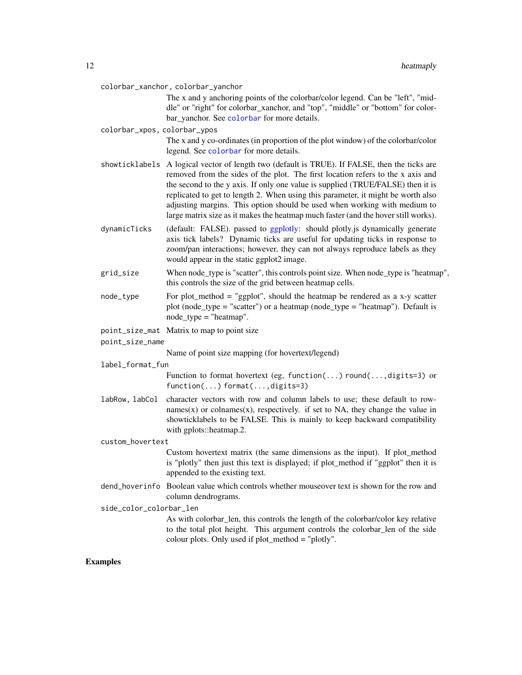<span id="page-11-0"></span>

|                              | colorbar_xanchor, colorbar_yanchor                                                                                                                                                                                                                                                                                                                                                                                                                                                                                         |
|------------------------------|----------------------------------------------------------------------------------------------------------------------------------------------------------------------------------------------------------------------------------------------------------------------------------------------------------------------------------------------------------------------------------------------------------------------------------------------------------------------------------------------------------------------------|
|                              | The x and y anchoring points of the colorbar/color legend. Can be "left", "mid-<br>dle" or "right" for colorbar_xanchor, and "top", "middle" or "bottom" for color-                                                                                                                                                                                                                                                                                                                                                        |
|                              | bar_yanchor. See colorbar for more details.                                                                                                                                                                                                                                                                                                                                                                                                                                                                                |
| colorbar_xpos, colorbar_ypos |                                                                                                                                                                                                                                                                                                                                                                                                                                                                                                                            |
|                              | The x and y co-ordinates (in proportion of the plot window) of the colorbar/color<br>legend. See colorbar for more details.                                                                                                                                                                                                                                                                                                                                                                                                |
|                              | showticklabels A logical vector of length two (default is TRUE). If FALSE, then the ticks are<br>removed from the sides of the plot. The first location refers to the x axis and<br>the second to the y axis. If only one value is supplied (TRUE/FALSE) then it is<br>replicated to get to length 2. When using this parameter, it might be worth also<br>adjusting margins. This option should be used when working with medium to<br>large matrix size as it makes the heatmap much faster (and the hover still works). |
| dynamicTicks                 | (default: FALSE). passed to ggplotly: should plotly.js dynamically generate<br>axis tick labels? Dynamic ticks are useful for updating ticks in response to<br>zoom/pan interactions; however, they can not always reproduce labels as they<br>would appear in the static ggplot2 image.                                                                                                                                                                                                                                   |
| grid_size                    | When node_type is "scatter", this controls point size. When node_type is "heatmap",<br>this controls the size of the grid between heatmap cells.                                                                                                                                                                                                                                                                                                                                                                           |
| node_type                    | For plot_method = "ggplot", should the heatmap be rendered as a x-y scatter<br>plot (node_type = "scatter") or a heatmap (node_type = "heatmap"). Default is<br>$node_type = "heatmap".$                                                                                                                                                                                                                                                                                                                                   |
|                              | point_size_mat Matrix to map to point size                                                                                                                                                                                                                                                                                                                                                                                                                                                                                 |
| point_size_name              |                                                                                                                                                                                                                                                                                                                                                                                                                                                                                                                            |
|                              | Name of point size mapping (for hovertext/legend)                                                                                                                                                                                                                                                                                                                                                                                                                                                                          |
| label_format_fun             |                                                                                                                                                                                                                                                                                                                                                                                                                                                                                                                            |
|                              | Function to format hovertext (eg, function() round(, digits=3) or<br>$function() format(, digits=3)$                                                                                                                                                                                                                                                                                                                                                                                                                       |
| labRow, labCol               | character vectors with row and column labels to use; these default to row-<br>$names(x)$ or colnames $(x)$ , respectively. if set to NA, they change the value in<br>showticklabels to be FALSE. This is mainly to keep backward compatibility<br>with gplots::heatmap.2.                                                                                                                                                                                                                                                  |
| custom_hovertext             |                                                                                                                                                                                                                                                                                                                                                                                                                                                                                                                            |
|                              | Custom hovertext matrix (the same dimensions as the input). If plot_method<br>is "plotly" then just this text is displayed; if plot_method if "ggplot" then it is<br>appended to the existing text.                                                                                                                                                                                                                                                                                                                        |
|                              | dend_hoverinfo Boolean value which controls whether mouseover text is shown for the row and<br>column dendrograms.                                                                                                                                                                                                                                                                                                                                                                                                         |
| side_color_colorbar_len      |                                                                                                                                                                                                                                                                                                                                                                                                                                                                                                                            |
|                              | As with colorbar_len, this controls the length of the colorbar/color key relative<br>to the total plot height. This argument controls the colorbar_len of the side<br>colour plots. Only used if plot_method = "plotly".                                                                                                                                                                                                                                                                                                   |
|                              |                                                                                                                                                                                                                                                                                                                                                                                                                                                                                                                            |

# Examples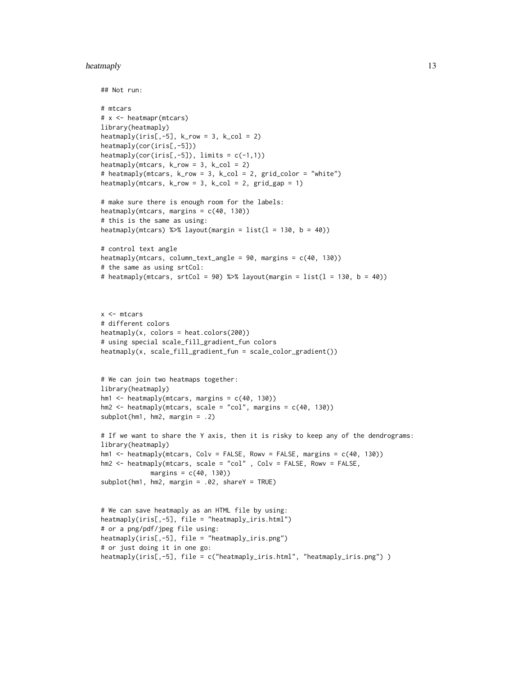#### heatmaply 13

```
## Not run:
```

```
# mtcars
# x <- heatmapr(mtcars)
library(heatmaply)
heatmaply(iris[, -5], k_{row} = 3, k_{col} = 2)
heatmaply(cor(iris[,-5]))
\text{heatmaply}(\text{cor}(iris[, -5]), \text{limits} = c(-1,1))heatmaply(mtcars, k_{row} = 3, k_{col} = 2)
# heatmaply(mtcars, k_row = 3, k_col = 2, grid_color = "white")
heatmaply(mtcars, k-row = 3, k,col = 2, grid-gap = 1)
```

```
# make sure there is enough room for the labels:
heatmaply(mtcars, margins = c(40, 130))
# this is the same as using:
heatmaply(mtcars) %\gg% layout(margin = list(1 = 130, b = 40))
```

```
# control text angle
heatmaply(mtcars, column_text_angle = 90, margins = c(40, 130))
# the same as using srtCol:
# heatmaply(mtcars, srtCol = 90) %\gg% layout(margin = list(1 = 130, b = 40))
```

```
x <- mtcars
# different colors
\text{heatmaply}(x, \text{ colors} = \text{heat}.\text{colors}(200))# using special scale_fill_gradient_fun colors
heatmaply(x, scale_fill_gradient_fun = scale_color_gradient())
```

```
# We can join two heatmaps together:
library(heatmaply)
hm1 < - \text{heatmaply(mtcars, margins = c(40, 130))}hm2 < - \text{heatmaply}(mtcars, scale = "col", margins = c(40, 130))
subplot(hm1, hm2, margin = .2)
```

```
# If we want to share the Y axis, then it is risky to keep any of the dendrograms:
library(heatmaply)
hm1 <- heatmaply(mtcars, Colv = FALSE, Rowv = FALSE, margins = c(40, 130))
hm2 <- heatmaply(mtcars, scale = "col" , Colv = FALSE, Rowv = FALSE,
             margins = c(40, 130))
subplot(hm1, hm2, margin = .02, shareY = TRUE)
```

```
# We can save heatmaply as an HTML file by using:
heatmaply(iris[,-5], file = "heatmaply_iris.html")
# or a png/pdf/jpeg file using:
heatmaply(iris[,-5], file = "heatmaply_iris.png")
# or just doing it in one go:
heatmaply(iris[,-5], file = c("heatmaply_iris.html", "heatmaply_iris.png") )
```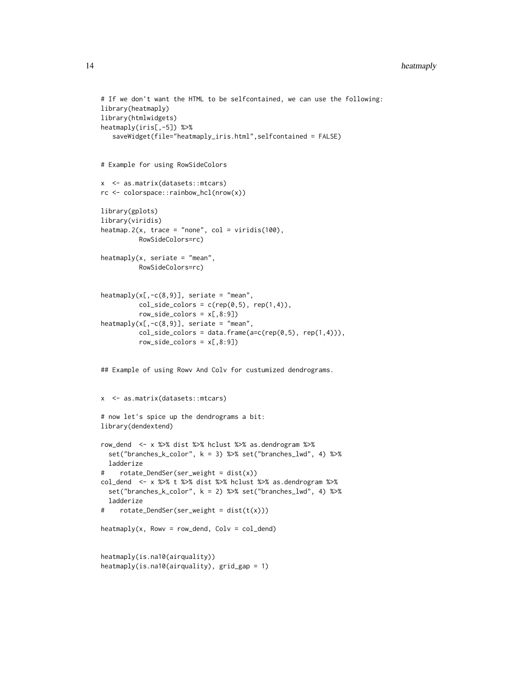#### 14 heatmaply

```
# If we don't want the HTML to be selfcontained, we can use the following:
library(heatmaply)
library(htmlwidgets)
heatmaply(iris[,-5]) %>%
   saveWidget(file="heatmaply_iris.html",selfcontained = FALSE)
# Example for using RowSideColors
x <- as.matrix(datasets::mtcars)
rc <- colorspace::rainbow_hcl(nrow(x))
library(gplots)
library(viridis)
heatmap.2(x, trace = "none", col = viridis(100),
          RowSideColors=rc)
heatmaply(x, seriate = "mean",
          RowSideColors=rc)
heatmaply(x[,-c(8,9)], seriate = "mean",
          col\_side\_colors = c(rep(0,5), rep(1,4)),row\_side\_colors = x[, 8:9]heatmaply(x[,-c(8,9)], seriate = "mean",
          col\_side\_colors = data frame(a=c(rep(0,5), rep(1,4))),row\_side\_colors = x[, 8:9]## Example of using Rowv And Colv for custumized dendrograms.
x <- as.matrix(datasets::mtcars)
# now let's spice up the dendrograms a bit:
library(dendextend)
row_dend <- x %>% dist %>% hclust %>% as.dendrogram %>%
  set("branches_k_color", k = 3) %>% set("branches_lwd", 4) %>%
  ladderize
# rotate_DendSer(ser_weight = dist(x))
col_dend <- x %>% t %>% dist %>% hclust %>% as.dendrogram %>%
  set("branches_k_color", k = 2) %>% set("branches_lwd", 4) %>%
  ladderize
# rotate_DendSer(ser_weight = dist(t(x)))
\text{heatmaply}(x, \text{Row} = \text{row\_dend}, \text{Colv} = \text{col\_dend})heatmaply(is.na10(airquality))
heatmaply(is.na10(airquality), grid_gap = 1)
```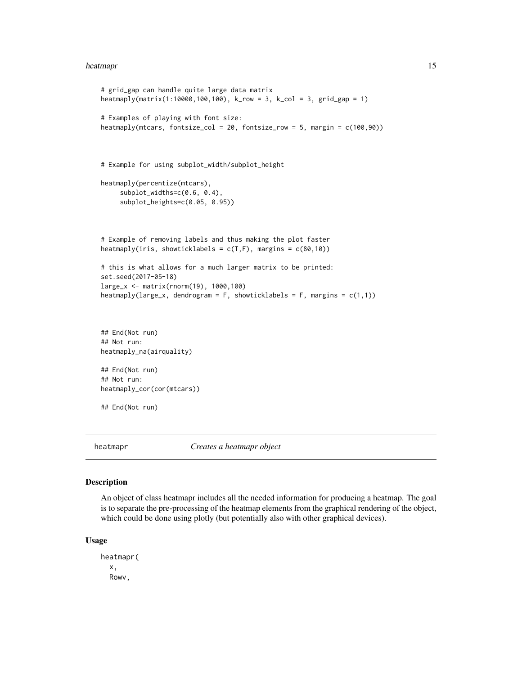#### <span id="page-14-0"></span>heatmapr and the state of the state of the state of the state of the state of the state of the state of the state of the state of the state of the state of the state of the state of the state of the state of the state of t

```
# grid_gap can handle quite large data matrix
heatmaply(matrix(1:10000,100,100), k_row = 3, k_col = 3, grid_gap = 1)
# Examples of playing with font size:
heatmaply(mtcars, fontsize_col = 20, fontsize_row = 5, margin = c(100,90))
# Example for using subplot_width/subplot_height
heatmaply(percentize(mtcars),
     subplot_widths=c(0.6, 0.4),
     subplot_heights=c(0.05, 0.95))
# Example of removing labels and thus making the plot faster
heatmaply(iris, showticklabels = c(T,F), margins = c(80,10))
# this is what allows for a much larger matrix to be printed:
set.seed(2017-05-18)
large_x <- matrix(rnorm(19), 1000,100)
heatmaply(large_x, dendrogram = F, showticklabels = F, margins = c(1,1))
## End(Not run)
## Not run:
heatmaply_na(airquality)
## End(Not run)
## Not run:
heatmaply_cor(cor(mtcars))
## End(Not run)
```
<span id="page-14-1"></span>

heatmapr *Creates a heatmapr object*

#### Description

An object of class heatmapr includes all the needed information for producing a heatmap. The goal is to separate the pre-processing of the heatmap elements from the graphical rendering of the object, which could be done using plotly (but potentially also with other graphical devices).

#### Usage

heatmapr( x, Rowv,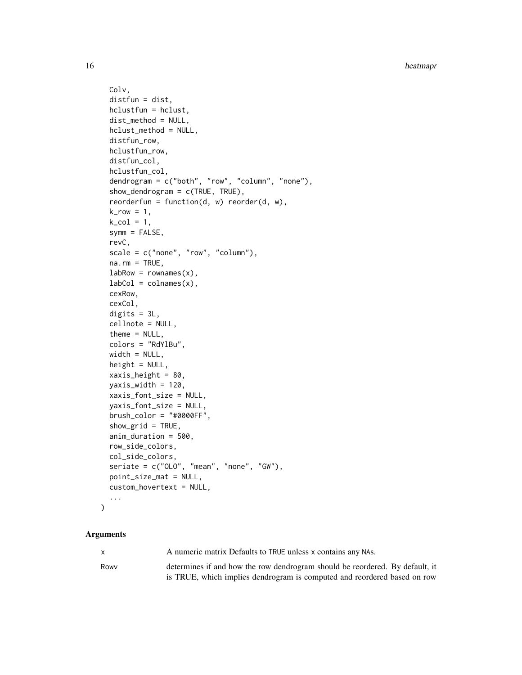```
Colv,
distfun = dist,
hclustfun = hclust,
dist_method = NULL,
hclust_method = NULL,
distfun_row,
hclustfun_row,
distfun_col,
hclustfun_col,
dendrogram = c("both", "row", "column", "none"),
show_dendrogram = c(TRUE, TRUE),
reorderfun = function(d, w) reorder(d, w),
k_row = 1,
k_{col} = 1,
symm = FALSE,
revC,
scale = c("none", "row", "column"),
na.rm = TRUE,labRow = rownames(x),
labCol = colnames(x),
cexRow,
cexCol,
digits = 3L,
cellnote = NULL,
theme = NULL,
colors = "RdYlBu",
width = NULL,height = NULL,xaxis_height = 80,
yaxis_width = 120,
xaxis_font_size = NULL,
yaxis_font_size = NULL,
brush\_color = "#0000FF",show_grid = TRUE,
anim_duration = 500,
row_side_colors,
col_side_colors,
seriate = c("OLO", "mean", "none", "GW"),point_size_mat = NULL,
custom_hovertext = NULL,
...
```
 $\mathcal{L}$ 

# Arguments

x A numeric matrix Defaults to TRUE unless x contains any NAs.

Rowv determines if and how the row dendrogram should be reordered. By default, it is TRUE, which implies dendrogram is computed and reordered based on row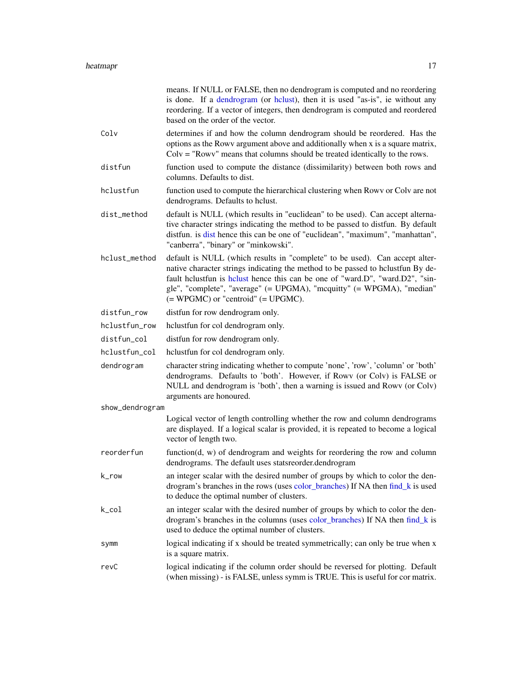<span id="page-16-0"></span>

|                 | means. If NULL or FALSE, then no dendrogram is computed and no reordering<br>is done. If a dendrogram (or holust), then it is used "as-is", ie without any<br>reordering. If a vector of integers, then dendrogram is computed and reordered<br>based on the order of the vector.                                                                                   |  |
|-----------------|---------------------------------------------------------------------------------------------------------------------------------------------------------------------------------------------------------------------------------------------------------------------------------------------------------------------------------------------------------------------|--|
| Colv            | determines if and how the column dendrogram should be reordered. Has the<br>options as the Rowy argument above and additionally when x is a square matrix,<br>$Colv = "Rowv"$ means that columns should be treated identically to the rows.                                                                                                                         |  |
| distfun         | function used to compute the distance (dissimilarity) between both rows and<br>columns. Defaults to dist.                                                                                                                                                                                                                                                           |  |
| hclustfun       | function used to compute the hierarchical clustering when Rowy or Colv are not<br>dendrograms. Defaults to helust.                                                                                                                                                                                                                                                  |  |
| dist_method     | default is NULL (which results in "euclidean" to be used). Can accept alterna-<br>tive character strings indicating the method to be passed to distfun. By default<br>distfun. is dist hence this can be one of "euclidean", "maximum", "manhattan",<br>"canberra", "binary" or "minkowski".                                                                        |  |
| hclust_method   | default is NULL (which results in "complete" to be used). Can accept alter-<br>native character strings indicating the method to be passed to hclustfun By de-<br>fault helustfun is helust hence this can be one of "ward.D", "ward.D2", "sin-<br>gle", "complete", "average" (= UPGMA), "mcquitty" (= WPGMA), "median"<br>$(= WPGMC)$ or "centroid" $(= UPGMC)$ . |  |
| distfun_row     | distfun for row dendrogram only.                                                                                                                                                                                                                                                                                                                                    |  |
| hclustfun_row   | helustfun for col dendrogram only.                                                                                                                                                                                                                                                                                                                                  |  |
| distfun_col     | distfun for row dendrogram only.                                                                                                                                                                                                                                                                                                                                    |  |
| hclustfun_col   | hclustfun for col dendrogram only.                                                                                                                                                                                                                                                                                                                                  |  |
| dendrogram      | character string indicating whether to compute 'none', 'row', 'column' or 'both'<br>dendrograms. Defaults to 'both'. However, if Rowy (or Colv) is FALSE or<br>NULL and dendrogram is 'both', then a warning is issued and Rowv (or Colv)<br>arguments are honoured.                                                                                                |  |
| show_dendrogram |                                                                                                                                                                                                                                                                                                                                                                     |  |
|                 | Logical vector of length controlling whether the row and column dendrograms<br>are displayed. If a logical scalar is provided, it is repeated to become a logical<br>vector of length two.                                                                                                                                                                          |  |
| reorderfun      | function $(d, w)$ of dendrogram and weights for reordering the row and column<br>dendrograms. The default uses statsreorder.dendrogram                                                                                                                                                                                                                              |  |
| k_row           | an integer scalar with the desired number of groups by which to color the den-<br>drogram's branches in the rows (uses color_branches) If NA then find_k is used<br>to deduce the optimal number of clusters.                                                                                                                                                       |  |
| $k_{col}$       | an integer scalar with the desired number of groups by which to color the den-<br>drogram's branches in the columns (uses color_branches) If NA then find_k is<br>used to deduce the optimal number of clusters.                                                                                                                                                    |  |
| symm            | logical indicating if x should be treated symmetrically; can only be true when x<br>is a square matrix.                                                                                                                                                                                                                                                             |  |
| revC            | logical indicating if the column order should be reversed for plotting. Default<br>(when missing) - is FALSE, unless symm is TRUE. This is useful for cor matrix.                                                                                                                                                                                                   |  |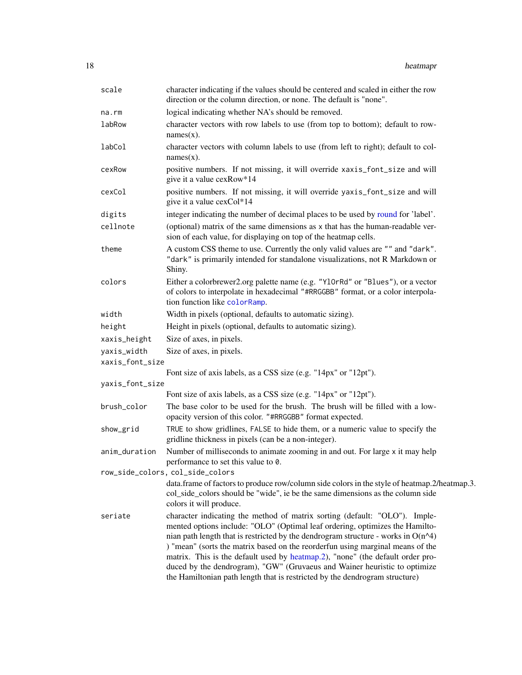<span id="page-17-0"></span>

| scale           | character indicating if the values should be centered and scaled in either the row<br>direction or the column direction, or none. The default is "none".                                                                                                                                                                                                                                                                                                                                                                                                                          |  |
|-----------------|-----------------------------------------------------------------------------------------------------------------------------------------------------------------------------------------------------------------------------------------------------------------------------------------------------------------------------------------------------------------------------------------------------------------------------------------------------------------------------------------------------------------------------------------------------------------------------------|--|
| na.rm           | logical indicating whether NA's should be removed.                                                                                                                                                                                                                                                                                                                                                                                                                                                                                                                                |  |
| labRow          | character vectors with row labels to use (from top to bottom); default to row-<br>$names(x)$ .                                                                                                                                                                                                                                                                                                                                                                                                                                                                                    |  |
| labCol          | character vectors with column labels to use (from left to right); default to col-<br>$names(x)$ .                                                                                                                                                                                                                                                                                                                                                                                                                                                                                 |  |
| cexRow          | positive numbers. If not missing, it will override xaxis_font_size and will<br>give it a value cexRow*14                                                                                                                                                                                                                                                                                                                                                                                                                                                                          |  |
| cexCol          | positive numbers. If not missing, it will override yaxis_font_size and will<br>give it a value cexCol*14                                                                                                                                                                                                                                                                                                                                                                                                                                                                          |  |
| digits          | integer indicating the number of decimal places to be used by round for 'label'.                                                                                                                                                                                                                                                                                                                                                                                                                                                                                                  |  |
| cellnote        | (optional) matrix of the same dimensions as x that has the human-readable ver-<br>sion of each value, for displaying on top of the heatmap cells.                                                                                                                                                                                                                                                                                                                                                                                                                                 |  |
| theme           | A custom CSS theme to use. Currently the only valid values are "" and "dark".<br>"dark" is primarily intended for standalone visualizations, not R Markdown or<br>Shiny.                                                                                                                                                                                                                                                                                                                                                                                                          |  |
| colors          | Either a colorbrewer2.org palette name (e.g. "Y10rRd" or "Blues"), or a vector<br>of colors to interpolate in hexadecimal "#RRGGBB" format, or a color interpola-<br>tion function like colorRamp.                                                                                                                                                                                                                                                                                                                                                                                |  |
| width           | Width in pixels (optional, defaults to automatic sizing).                                                                                                                                                                                                                                                                                                                                                                                                                                                                                                                         |  |
| height          | Height in pixels (optional, defaults to automatic sizing).                                                                                                                                                                                                                                                                                                                                                                                                                                                                                                                        |  |
| xaxis_height    | Size of axes, in pixels.                                                                                                                                                                                                                                                                                                                                                                                                                                                                                                                                                          |  |
| yaxis_width     | Size of axes, in pixels.                                                                                                                                                                                                                                                                                                                                                                                                                                                                                                                                                          |  |
| xaxis_font_size |                                                                                                                                                                                                                                                                                                                                                                                                                                                                                                                                                                                   |  |
|                 | Font size of axis labels, as a CSS size (e.g. "14px" or "12pt").                                                                                                                                                                                                                                                                                                                                                                                                                                                                                                                  |  |
| yaxis_font_size |                                                                                                                                                                                                                                                                                                                                                                                                                                                                                                                                                                                   |  |
| brush_color     | Font size of axis labels, as a CSS size (e.g. "14px" or "12pt").<br>The base color to be used for the brush. The brush will be filled with a low-<br>opacity version of this color. "#RRGGBB" format expected.                                                                                                                                                                                                                                                                                                                                                                    |  |
| show_grid       | TRUE to show gridlines, FALSE to hide them, or a numeric value to specify the<br>gridline thickness in pixels (can be a non-integer).                                                                                                                                                                                                                                                                                                                                                                                                                                             |  |
| anim_duration   | Number of milliseconds to animate zooming in and out. For large x it may help<br>performance to set this value to 0.                                                                                                                                                                                                                                                                                                                                                                                                                                                              |  |
|                 | row_side_colors, col_side_colors                                                                                                                                                                                                                                                                                                                                                                                                                                                                                                                                                  |  |
|                 | data.frame of factors to produce row/column side colors in the style of heatmap.2/heatmap.3.<br>col_side_colors should be "wide", ie be the same dimensions as the column side<br>colors it will produce.                                                                                                                                                                                                                                                                                                                                                                         |  |
| seriate         | character indicating the method of matrix sorting (default: "OLO"). Imple-<br>mented options include: "OLO" (Optimal leaf ordering, optimizes the Hamilto-<br>nian path length that is restricted by the dendrogram structure - works in $O(n^2)$<br>) "mean" (sorts the matrix based on the reorderfun using marginal means of the<br>matrix. This is the default used by heatmap.2), "none" (the default order pro-<br>duced by the dendrogram), "GW" (Gruvaeus and Wainer heuristic to optimize<br>the Hamiltonian path length that is restricted by the dendrogram structure) |  |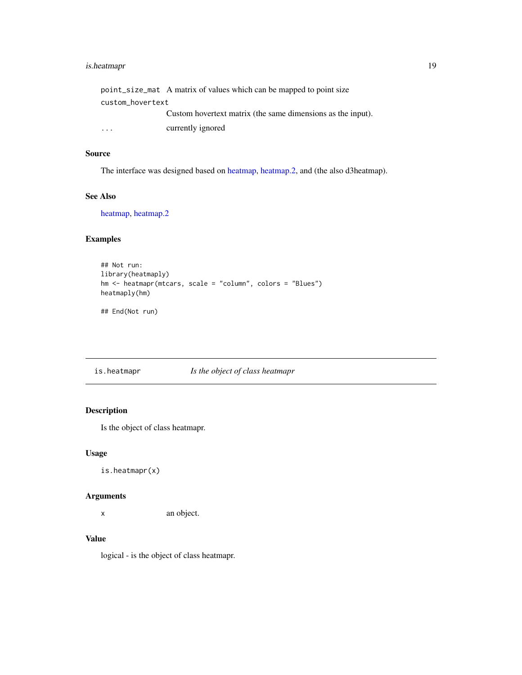# <span id="page-18-0"></span>is.heatmapr 19

|                         | point_size_mat A matrix of values which can be mapped to point size |
|-------------------------|---------------------------------------------------------------------|
| custom_hovertext        |                                                                     |
|                         | Custom hovertext matrix (the same dimensions as the input).         |
| $\cdot$ $\cdot$ $\cdot$ | currently ignored                                                   |

# Source

The interface was designed based on [heatmap,](#page-0-0) [heatmap.2,](#page-0-0) and (the also d3heatmap).

# See Also

[heatmap,](#page-0-0) [heatmap.2](#page-0-0)

# Examples

```
## Not run:
library(heatmaply)
hm <- heatmapr(mtcars, scale = "column", colors = "Blues")
heatmaply(hm)
```
## End(Not run)

is.heatmapr *Is the object of class heatmapr*

# Description

Is the object of class heatmapr.

# Usage

is.heatmapr(x)

# Arguments

x an object.

#### Value

logical - is the object of class heatmapr.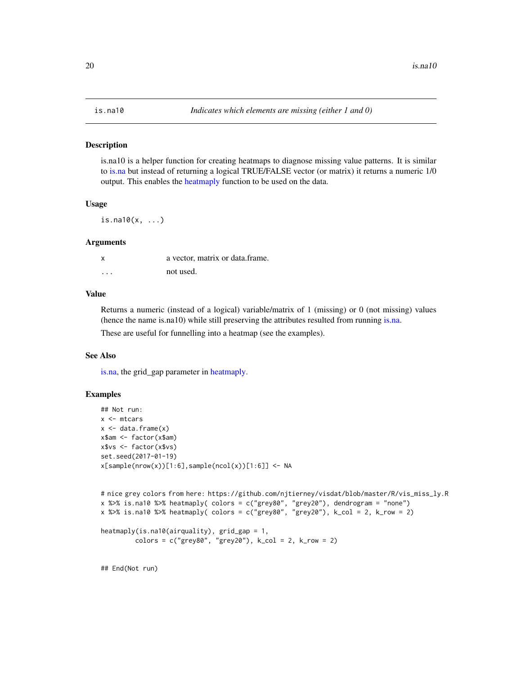## <span id="page-19-1"></span><span id="page-19-0"></span>Description

is.na10 is a helper function for creating heatmaps to diagnose missing value patterns. It is similar to [is.na](#page-0-0) but instead of returning a logical TRUE/FALSE vector (or matrix) it returns a numeric 1/0 output. This enables the [heatmaply](#page-3-1) function to be used on the data.

#### Usage

 $is.na10(x, ...)$ 

#### Arguments

| X       | a vector, matrix or data frame. |
|---------|---------------------------------|
| $\cdot$ | not used.                       |

#### Value

Returns a numeric (instead of a logical) variable/matrix of 1 (missing) or 0 (not missing) values (hence the name is.na10) while still preserving the attributes resulted from running [is.na.](#page-0-0)

These are useful for funnelling into a heatmap (see the examples).

## See Also

[is.na,](#page-0-0) the grid\_gap parameter in [heatmaply.](#page-3-1)

# Examples

```
## Not run:
x < - mtcars
x \leftarrow data.frame(x)x$am <- factor(x$am)
x$vs <- factor(x$vs)
set.seed(2017-01-19)
x[sample(nrow(x))[1:6],sample(ncol(x))[1:6]] \leftarrow NA# nice grey colors from here: https://github.com/njtierney/visdat/blob/master/R/vis_miss_ly.R
```

```
x %>% is.na10 %>% heatmaply( colors = c("grey80", "grey20"), dendrogram = "none")
x %>% is.na10 %>% heatmaply( colors = c("grey80", "grey20"), k_col = 2, k_row = 2)
```

```
heatmaply(is.na10(airquality), grid_gap = 1,
        colors = c("grey80", "grey20"), k_col = 2, k_row = 2)
```
## End(Not run)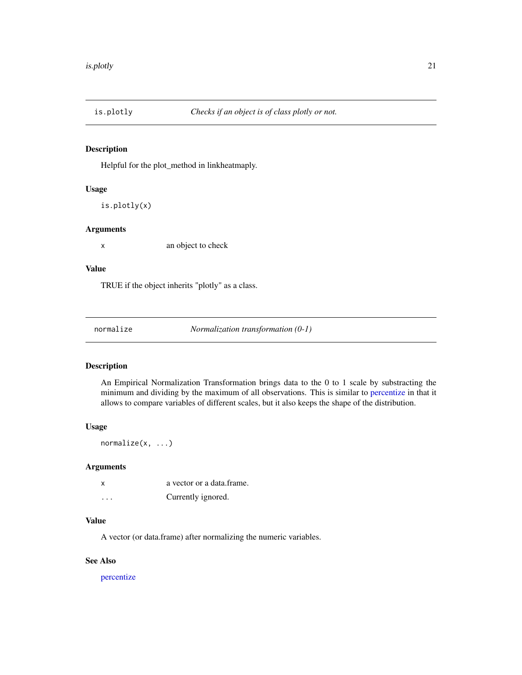<span id="page-20-0"></span>

#### Description

Helpful for the plot\_method in linkheatmaply.

#### Usage

is.plotly(x)

#### Arguments

x an object to check

### Value

TRUE if the object inherits "plotly" as a class.

<span id="page-20-1"></span>

normalize *Normalization transformation (0-1)*

#### Description

An Empirical Normalization Transformation brings data to the 0 to 1 scale by substracting the minimum and dividing by the maximum of all observations. This is similar to [percentize](#page-21-1) in that it allows to compare variables of different scales, but it also keeps the shape of the distribution.

### Usage

normalize(x, ...)

#### Arguments

| X        | a vector or a data frame. |
|----------|---------------------------|
| $\cdots$ | Currently ignored.        |

# Value

A vector (or data.frame) after normalizing the numeric variables.

# See Also

[percentize](#page-21-1)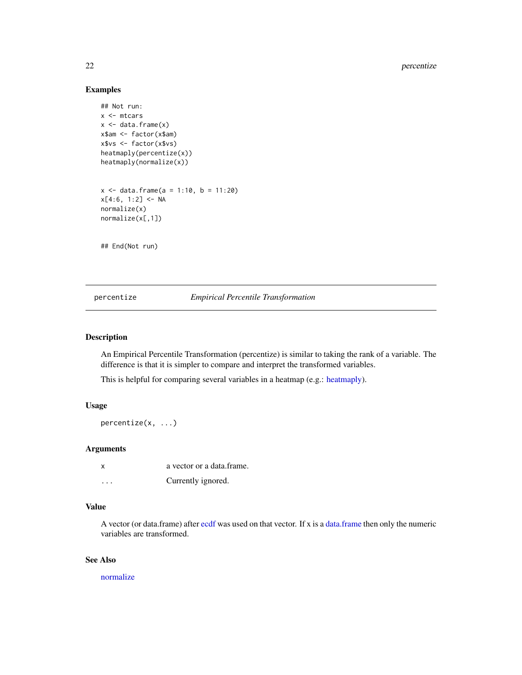# <span id="page-21-0"></span>22 percentize

# Examples

```
## Not run:
x <- mtcars
x \leftarrow data-frame(x)x$am <- factor(x$am)
x$vs <- factor(x$vs)
heatmaply(percentize(x))
heatmaply(normalize(x))
x <- data.frame(a = 1:10, b = 11:20)
x[4:6, 1:2] < -NAnormalize(x)
normalize(x[,1])
```
## End(Not run)

# <span id="page-21-1"></span>percentize *Empirical Percentile Transformation*

#### Description

An Empirical Percentile Transformation (percentize) is similar to taking the rank of a variable. The difference is that it is simpler to compare and interpret the transformed variables.

This is helpful for comparing several variables in a heatmap (e.g.: [heatmaply\)](#page-3-1).

# Usage

percentize(x, ...)

### Arguments

| x                       | a vector or a data frame. |
|-------------------------|---------------------------|
| $\cdot$ $\cdot$ $\cdot$ | Currently ignored.        |

# Value

A vector (or data.frame) after [ecdf](#page-0-0) was used on that vector. If x is a [data.frame](#page-0-0) then only the numeric variables are transformed.

# See Also

[normalize](#page-20-1)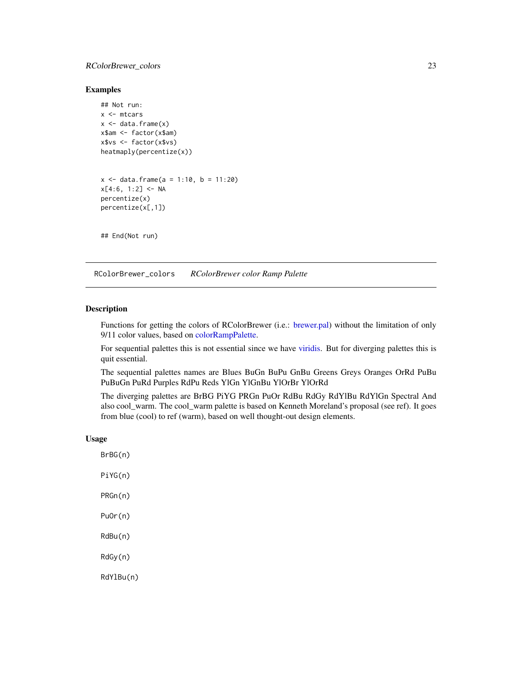#### <span id="page-22-0"></span>RColorBrewer\_colors 23

#### Examples

```
## Not run:
x <- mtcars
x \le - data.frame(x)x$am <- factor(x$am)
x$vs <- factor(x$vs)
heatmaply(percentize(x))
x <- data.frame(a = 1:10, b = 11:20)
x[4:6, 1:2] <- NA
percentize(x)
percentize(x[,1])
## End(Not run)
```
RColorBrewer\_colors *RColorBrewer color Ramp Palette*

# <span id="page-22-1"></span>Description

Functions for getting the colors of RColorBrewer (i.e.: [brewer.pal\)](#page-0-0) without the limitation of only 9/11 color values, based on [colorRampPalette.](#page-0-0)

For sequential palettes this is not essential since we have [viridis.](#page-0-0) But for diverging palettes this is quit essential.

The sequential palettes names are Blues BuGn BuPu GnBu Greens Greys Oranges OrRd PuBu PuBuGn PuRd Purples RdPu Reds YlGn YlGnBu YlOrBr YlOrRd

The diverging palettes are BrBG PiYG PRGn PuOr RdBu RdGy RdYlBu RdYlGn Spectral And also cool\_warm. The cool\_warm palette is based on Kenneth Moreland's proposal (see ref). It goes from blue (cool) to ref (warm), based on well thought-out design elements.

#### Usage

BrBG(n) PiYG(n) PRGn(n) PuOr(n) RdBu(n) RdGy(n) RdYlBu(n)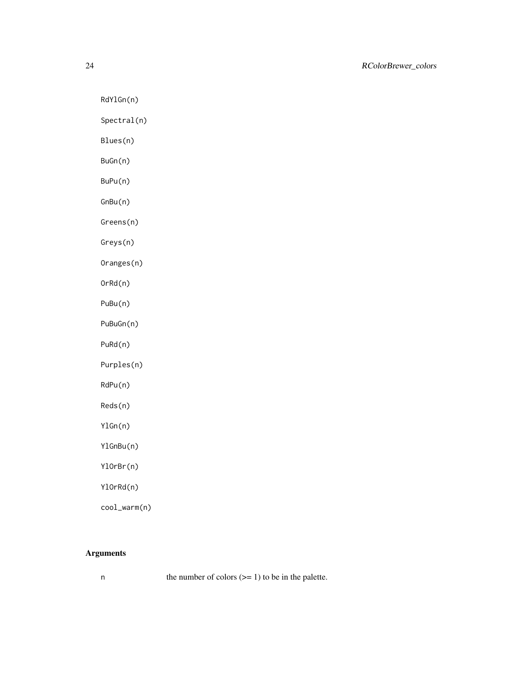RdYlGn(n)

Spectral(n)

Blues(n)

BuGn(n)

BuPu(n)

GnBu(n)

Greens(n)

Greys(n)

Oranges(n)

OrRd(n)

PuBu(n)

PuBuGn(n)

PuRd(n)

Purples(n)

RdPu(n)

Reds(n)

YlGn(n)

YlGnBu(n)

YlOrBr(n)

YlOrRd(n)

cool\_warm(n)

# Arguments

n the number of colors  $(>= 1)$  to be in the palette.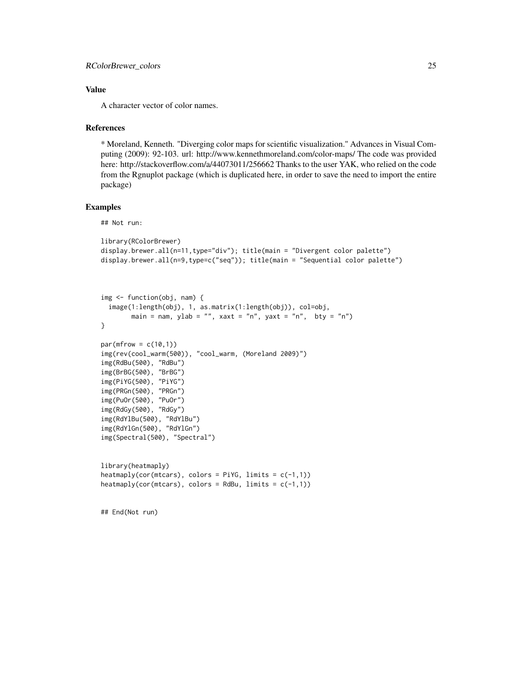# Value

A character vector of color names.

#### References

\* Moreland, Kenneth. "Diverging color maps for scientific visualization." Advances in Visual Computing (2009): 92-103. url: http://www.kennethmoreland.com/color-maps/ The code was provided here: http://stackoverflow.com/a/44073011/256662 Thanks to the user YAK, who relied on the code from the Rgnuplot package (which is duplicated here, in order to save the need to import the entire package)

## Examples

## Not run:

```
library(RColorBrewer)
display.brewer.all(n=11,type="div"); title(main = "Divergent color palette")
display.brewer.all(n=9,type=c("seq")); title(main = "Sequential color palette")
```

```
img <- function(obj, nam) {
 image(1:length(obj), 1, as.matrix(1:length(obj)), col=obj,
       main = nam, ylab = "", xaxt = "n", yaxt = "n", bty = "n")
}
```

```
par(mfrow = c(10,1))img(rev(cool_warm(500)), "cool_warm, (Moreland 2009)")
img(RdBu(500), "RdBu")
img(BrBG(500), "BrBG")
img(PiYG(500), "PiYG")
img(PRGn(500), "PRGn")
img(PuOr(500), "PuOr")
img(RdGy(500), "RdGy")
img(RdYlBu(500), "RdYlBu")
img(RdYlGn(500), "RdYlGn")
img(Spectral(500), "Spectral")
```

```
library(heatmaply)
\text{heatmaply}(\text{cor}(\text{mtcars}), \text{colors} = \text{PiYG}, \text{limits} = \text{c}(-1,1))\text{heatmaply}(\text{cor}(\text{mtcars}), \text{colors} = \text{RdBu}, \text{limits} = \text{c}(-1,1))
```

```
## End(Not run)
```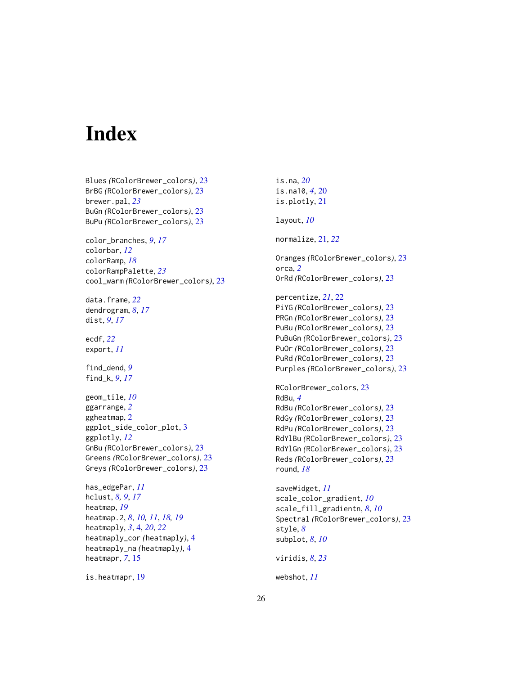# <span id="page-25-0"></span>**Index**

Blues *(*RColorBrewer\_colors*)*, [23](#page-22-0) BrBG *(*RColorBrewer\_colors*)*, [23](#page-22-0) brewer.pal, *[23](#page-22-0)* BuGn *(*RColorBrewer\_colors*)*, [23](#page-22-0) BuPu *(*RColorBrewer\_colors*)*, [23](#page-22-0) color\_branches, *[9](#page-8-0)*, *[17](#page-16-0)* colorbar, *[12](#page-11-0)* colorRamp, *[18](#page-17-0)* colorRampPalette, *[23](#page-22-0)* cool\_warm *(*RColorBrewer\_colors*)*, [23](#page-22-0) data.frame, *[22](#page-21-0)* dendrogram, *[8](#page-7-0)*, *[17](#page-16-0)* dist, *[9](#page-8-0)*, *[17](#page-16-0)* ecdf, *[22](#page-21-0)* export, *[11](#page-10-0)* find\_dend, *[9](#page-8-0)* find\_k, *[9](#page-8-0)*, *[17](#page-16-0)* geom\_tile, *[10](#page-9-0)* ggarrange, *[2](#page-1-0)* ggheatmap, [2](#page-1-0) ggplot\_side\_color\_plot, [3](#page-2-0) ggplotly, *[12](#page-11-0)* GnBu *(*RColorBrewer\_colors*)*, [23](#page-22-0) Greens *(*RColorBrewer\_colors*)*, [23](#page-22-0) Greys *(*RColorBrewer\_colors*)*, [23](#page-22-0) has\_edgePar, *[11](#page-10-0)* hclust, *[8,](#page-7-0) [9](#page-8-0)*, *[17](#page-16-0)* heatmap, *[19](#page-18-0)* heatmap.2, *[8](#page-7-0)*, *[10,](#page-9-0) [11](#page-10-0)*, *[18,](#page-17-0) [19](#page-18-0)* heatmaply, *[3](#page-2-0)*, [4,](#page-3-0) *[20](#page-19-0)*, *[22](#page-21-0)* heatmaply\_cor *(*heatmaply*)*, [4](#page-3-0) heatmaply\_na *(*heatmaply*)*, [4](#page-3-0)

is.heatmapr, [19](#page-18-0)

heatmapr, *[7](#page-6-0)*, [15](#page-14-0)

is.na, *[20](#page-19-0)* is.na10, *[4](#page-3-0)*, [20](#page-19-0) is.plotly, [21](#page-20-0) layout, *[10](#page-9-0)* normalize, [21,](#page-20-0) *[22](#page-21-0)* Oranges *(*RColorBrewer\_colors*)*, [23](#page-22-0) orca, *[2](#page-1-0)* OrRd *(*RColorBrewer\_colors*)*, [23](#page-22-0) percentize, *[21](#page-20-0)*, [22](#page-21-0) PiYG *(*RColorBrewer\_colors*)*, [23](#page-22-0) PRGn *(*RColorBrewer\_colors*)*, [23](#page-22-0) PuBu *(*RColorBrewer\_colors*)*, [23](#page-22-0) PuBuGn *(*RColorBrewer\_colors*)*, [23](#page-22-0) PuOr *(*RColorBrewer\_colors*)*, [23](#page-22-0) PuRd *(*RColorBrewer\_colors*)*, [23](#page-22-0) Purples *(*RColorBrewer\_colors*)*, [23](#page-22-0) RColorBrewer\_colors, [23](#page-22-0) RdBu, *[4](#page-3-0)* RdBu *(*RColorBrewer\_colors*)*, [23](#page-22-0) RdGy *(*RColorBrewer\_colors*)*, [23](#page-22-0) RdPu *(*RColorBrewer\_colors*)*, [23](#page-22-0) RdYlBu *(*RColorBrewer\_colors*)*, [23](#page-22-0) RdYlGn *(*RColorBrewer\_colors*)*, [23](#page-22-0) Reds *(*RColorBrewer\_colors*)*, [23](#page-22-0) round, *[18](#page-17-0)* saveWidget, *[11](#page-10-0)* scale\_color\_gradient, *[10](#page-9-0)* scale\_fill\_gradientn, *[8](#page-7-0)*, *[10](#page-9-0)* Spectral *(*RColorBrewer\_colors*)*, [23](#page-22-0) style, *[8](#page-7-0)* subplot, *[8](#page-7-0)*, *[10](#page-9-0)*

viridis, *[8](#page-7-0)*, *[23](#page-22-0)*

webshot, *[11](#page-10-0)*